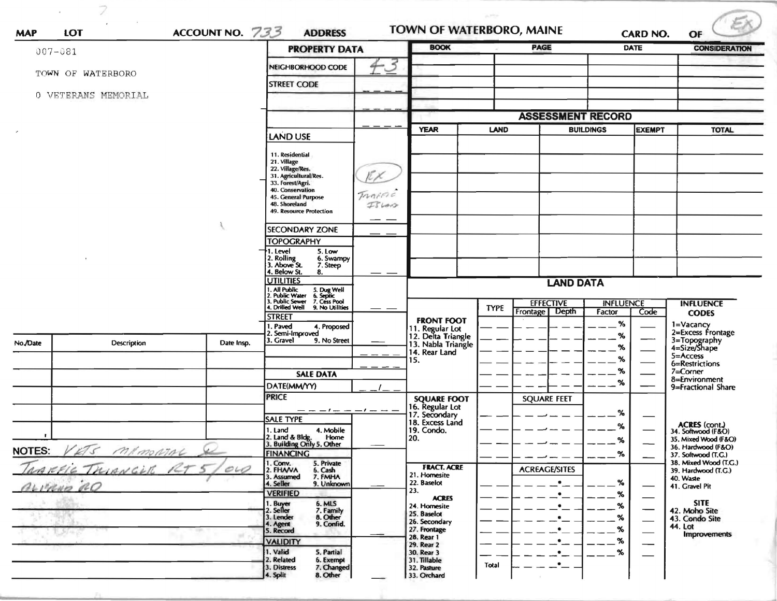| $007 - 081$   |                     |                                                                                                                               | <b>PROPERTY DATA</b>                                                                                                                                                                   | <b>TOWN OF WATERBORO, MAINE</b><br>ACCOUNT NO. 733<br><b>ADDRESS</b> |                                                     |             | <b>PAGE</b>          |                                   |                  | <b>CARD NO.</b><br><b>DATE</b> | <b>CONSIDERATION</b>                         |
|---------------|---------------------|-------------------------------------------------------------------------------------------------------------------------------|----------------------------------------------------------------------------------------------------------------------------------------------------------------------------------------|----------------------------------------------------------------------|-----------------------------------------------------|-------------|----------------------|-----------------------------------|------------------|--------------------------------|----------------------------------------------|
|               |                     |                                                                                                                               |                                                                                                                                                                                        |                                                                      |                                                     |             |                      |                                   |                  |                                |                                              |
|               | TOWN OF WATERBORO   |                                                                                                                               | NEIGHBORHOOD CODE                                                                                                                                                                      | $\mathcal{S}$                                                        |                                                     |             |                      |                                   |                  |                                |                                              |
|               | 0 VETERANS MEMORIAL |                                                                                                                               | <b>STREET CODE</b>                                                                                                                                                                     |                                                                      |                                                     |             |                      |                                   |                  |                                |                                              |
|               |                     |                                                                                                                               |                                                                                                                                                                                        |                                                                      |                                                     |             |                      |                                   |                  |                                |                                              |
|               |                     |                                                                                                                               |                                                                                                                                                                                        |                                                                      | <b>ASSESSMENT RECORD</b>                            |             |                      |                                   |                  |                                |                                              |
|               |                     |                                                                                                                               | <b>LAND USE</b>                                                                                                                                                                        |                                                                      | <b>YEAR</b>                                         | <b>LAND</b> |                      | <b>BUILDINGS</b><br><b>EXEMPT</b> |                  | <b>TOTAL</b>                   |                                              |
|               |                     |                                                                                                                               | 11. Residential<br>21. Village<br>22. Village/Res.<br>31. Agricultural/Res.<br>33. Forest/Agri.<br>40. Conservation<br>45. General Purpose<br>48. Shoreland<br>49. Resource Protection | TRAFFIC<br>$I\$                                                      |                                                     |             |                      |                                   |                  |                                |                                              |
|               |                     |                                                                                                                               | <b>SECONDARY ZONE</b>                                                                                                                                                                  |                                                                      |                                                     |             |                      |                                   |                  |                                |                                              |
|               |                     |                                                                                                                               | <b>TOPOGRAPHY</b>                                                                                                                                                                      |                                                                      |                                                     |             |                      |                                   |                  |                                |                                              |
|               |                     |                                                                                                                               | 1. Level<br>5. Low<br>2. Rolling<br>3. Above St.<br>6. Swampy<br>7. Steep<br>4. Below St.<br>8.                                                                                        |                                                                      |                                                     |             |                      |                                   |                  |                                |                                              |
|               |                     |                                                                                                                               | <b>UTILITIES</b>                                                                                                                                                                       |                                                                      | <b>LAND DATA</b>                                    |             |                      |                                   |                  |                                |                                              |
|               |                     | 1. All Public 5. Dug Well<br>1. All Public Water 6. Septic<br>3. Public Sewer 7. Cess Pool<br>4. Drilled Well 9. No Utilities |                                                                                                                                                                                        |                                                                      | <b>EFFECTIVE</b>                                    |             | <b>INFLUENCE</b>     |                                   | <b>INFLUENCE</b> |                                |                                              |
|               |                     |                                                                                                                               | <b>STREET</b>                                                                                                                                                                          |                                                                      |                                                     | <b>TYPE</b> | Frontage Depth       |                                   | Factor           | Code                           | <b>CODES</b>                                 |
|               |                     |                                                                                                                               | . Paved<br>4. Proposed<br>Semi-Improved                                                                                                                                                |                                                                      | <b>FRONT FOOT</b><br>11. Regular Lot                |             |                      |                                   | $\%$             |                                | 1=Vacancy<br>2=Excess Frontage               |
| No./Date      | Description         | Date Insp.                                                                                                                    | 3. Gravel<br>9. No Street                                                                                                                                                              |                                                                      | 12. Delta Triangle<br>13. Nabla Triangle            |             |                      |                                   | %<br>%           |                                | 3=Topography<br>4=Size/Shape                 |
|               |                     |                                                                                                                               |                                                                                                                                                                                        |                                                                      | 14. Rear Land<br>15.                                |             |                      |                                   | %                |                                | 5=Access<br>6=Restrictions                   |
|               |                     |                                                                                                                               | <b>SALE DATA</b>                                                                                                                                                                       |                                                                      |                                                     |             |                      |                                   | %                |                                | $7 =$ Corner<br>8=Environment                |
|               |                     |                                                                                                                               | DATE(MM/YY)                                                                                                                                                                            |                                                                      |                                                     |             |                      |                                   | %                |                                | 9=Fractional Share                           |
|               |                     |                                                                                                                               | <b>PRICE</b>                                                                                                                                                                           |                                                                      | <b>SQUARE FOOT</b>                                  |             | <b>SQUARE FEET</b>   |                                   |                  |                                |                                              |
|               |                     |                                                                                                                               | — — — / — — — / — —<br><b>SALE TYPE</b>                                                                                                                                                |                                                                      | 16. Regular Lot<br>17. Secondary<br>18. Excess Land |             |                      |                                   | %                |                                |                                              |
|               |                     |                                                                                                                               | 4. Mobile<br>1. Land<br>2. Land & Bldg.<br>Home                                                                                                                                        |                                                                      | 19. Condo.<br>20.                                   |             |                      |                                   | ℅                |                                | ACRES (cont.)<br>34. Softwood (F&O)          |
| <b>NOTES:</b> | memorial<br>275     |                                                                                                                               | 3. Building Only 5. Other                                                                                                                                                              |                                                                      |                                                     |             |                      |                                   | ፟                |                                | 35. Mixed Wood (F&O)<br>36. Hardwood (F&O)   |
|               |                     |                                                                                                                               | <b>FINANCING</b><br>1. Conv.<br>5. Private                                                                                                                                             |                                                                      | <b>FRACT. ACRE</b>                                  |             |                      |                                   | %                |                                | 37. Softwood (T.C.)<br>38. Mixed Wood (T.G.) |
|               | WARFIE THIANGUE RT  | O10                                                                                                                           | 2. FHAVA<br>6. Cash<br>7. FMHA<br>3. Assumed                                                                                                                                           |                                                                      | 21. Homesite                                        |             | <b>ACREAGE/SITES</b> | $\bullet$                         | %                |                                | 39. Hardwood (T.G.)<br>40. Waste             |
| BLIRNO RO     |                     |                                                                                                                               | 9. Unknown<br>4. Seller<br><b>VERIFIED</b>                                                                                                                                             |                                                                      | 22. Baselot<br>23.                                  |             |                      | $\bullet$                         | %                |                                | 41. Gravel Pit                               |
|               |                     |                                                                                                                               | 1. Buyer<br>2. Seller<br>6. MLS<br>7. Family                                                                                                                                           |                                                                      | <b>ACRES</b><br>24. Homesite                        |             |                      | $\bullet$                         | %                |                                | <b>SITE</b><br>42. Moho Site                 |
|               |                     |                                                                                                                               | 8. Other<br>3. Lender<br>4. Agent<br>9. Confid.                                                                                                                                        |                                                                      | 25. Baselot<br>26. Secondary                        |             |                      | $\bullet$                         | %                |                                | 43. Condo Site                               |
|               |                     |                                                                                                                               | 5. Record                                                                                                                                                                              |                                                                      | 27. Frontage<br>28. Rear 1                          |             |                      | $\bullet$<br>$\bullet$            | %                |                                | 44. Lot<br><b>Improvements</b>               |
|               |                     |                                                                                                                               | <b>VALIDITY</b><br>1. Valid<br>5. Partial                                                                                                                                              |                                                                      | 29. Rear 2<br>30. Rear 3                            |             |                      | $\bullet$                         | $\%$<br>%        |                                |                                              |
|               |                     |                                                                                                                               | 2. Related<br>6. Exempt                                                                                                                                                                |                                                                      | 31. Tillable                                        | Total       |                      | $\bullet$                         |                  |                                |                                              |